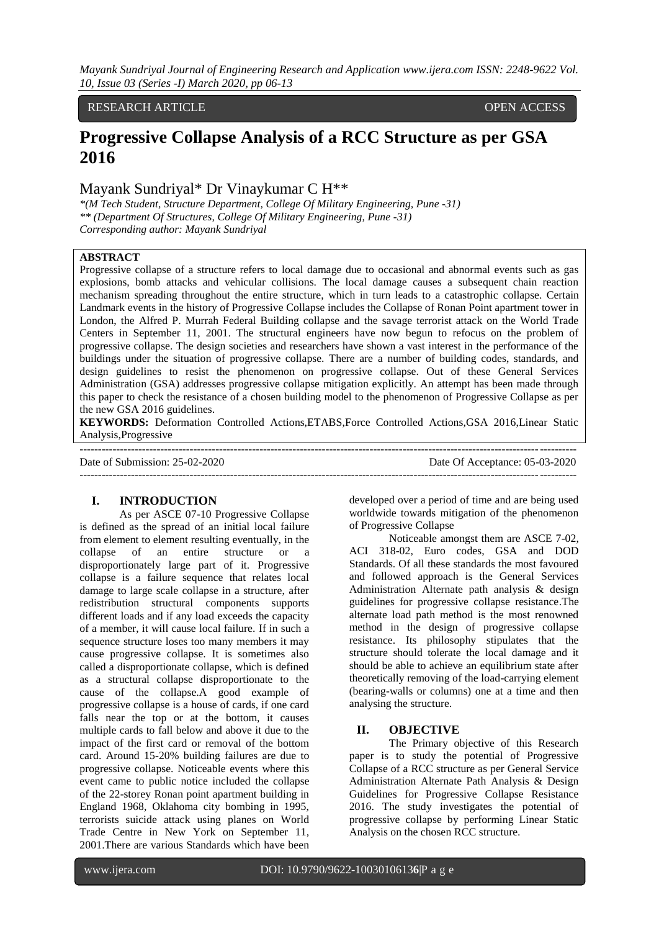## RESEARCH ARTICLE **OPEN ACCESS**

# **Progressive Collapse Analysis of a RCC Structure as per GSA 2016**

# Mayank Sundriyal\* Dr Vinaykumar C H\*\*

*\*(M Tech Student, Structure Department, College Of Military Engineering, Pune -31) \*\* (Department Of Structures, College Of Military Engineering, Pune -31) Corresponding author: Mayank Sundriyal*

# **ABSTRACT**

Progressive collapse of a structure refers to local damage due to occasional and abnormal events such as gas explosions, bomb attacks and vehicular collisions. The local damage causes a subsequent chain reaction mechanism spreading throughout the entire structure, which in turn leads to a catastrophic collapse. Certain Landmark events in the history of Progressive Collapse includes the Collapse of Ronan Point apartment tower in London, the Alfred P. Murrah Federal Building collapse and the savage terrorist attack on the World Trade Centers in September 11, 2001. The structural engineers have now begun to refocus on the problem of progressive collapse. The design societies and researchers have shown a vast interest in the performance of the buildings under the situation of progressive collapse. There are a number of building codes, standards, and design guidelines to resist the phenomenon on progressive collapse. Out of these General Services Administration (GSA) addresses progressive collapse mitigation explicitly. An attempt has been made through this paper to check the resistance of a chosen building model to the phenomenon of Progressive Collapse as per the new GSA 2016 guidelines.

**KEYWORDS:** Deformation Controlled Actions,ETABS,Force Controlled Actions,GSA 2016,Linear Static Analysis,Progressive

--------------------------------------------------------------------------------------------------------------------------------------- Date of Submission: 25-02-2020 Date Of Acceptance: 05-03-2020 ---------------------------------------------------------------------------------------------------------------------------------------

# **I. INTRODUCTION**

As per ASCE 07-10 Progressive Collapse is defined as the spread of an initial local failure from element to element resulting eventually, in the collapse of an entire structure or a disproportionately large part of it. Progressive collapse is a failure sequence that relates local damage to large scale collapse in a structure, after redistribution structural components supports different loads and if any load exceeds the capacity of a member, it will cause local failure. If in such a sequence structure loses too many members it may cause progressive collapse. It is sometimes also called a disproportionate collapse, which is defined as a structural collapse disproportionate to the cause of the collapse.A good example of progressive collapse is a house of cards, if one card falls near the top or at the bottom, it causes multiple cards to fall below and above it due to the impact of the first card or removal of the bottom card. Around 15-20% building failures are due to progressive collapse. Noticeable events where this event came to public notice included the collapse of the 22-storey Ronan point apartment building in England 1968, Oklahoma city bombing in 1995, terrorists suicide attack using planes on World Trade Centre in New York on September 11, 2001.There are various Standards which have been

developed over a period of time and are being used worldwide towards mitigation of the phenomenon of Progressive Collapse

Noticeable amongst them are ASCE 7-02, ACI 318-02, Euro codes, GSA and DOD Standards. Of all these standards the most favoured and followed approach is the General Services Administration Alternate path analysis & design guidelines for progressive collapse resistance.The alternate load path method is the most renowned method in the design of progressive collapse resistance. Its philosophy stipulates that the structure should tolerate the local damage and it should be able to achieve an equilibrium state after theoretically removing of the load-carrying element (bearing-walls or columns) one at a time and then analysing the structure.

## **II. OBJECTIVE**

The Primary objective of this Research paper is to study the potential of Progressive Collapse of a RCC structure as per General Service Administration Alternate Path Analysis & Design Guidelines for Progressive Collapse Resistance 2016. The study investigates the potential of progressive collapse by performing Linear Static Analysis on the chosen RCC structure.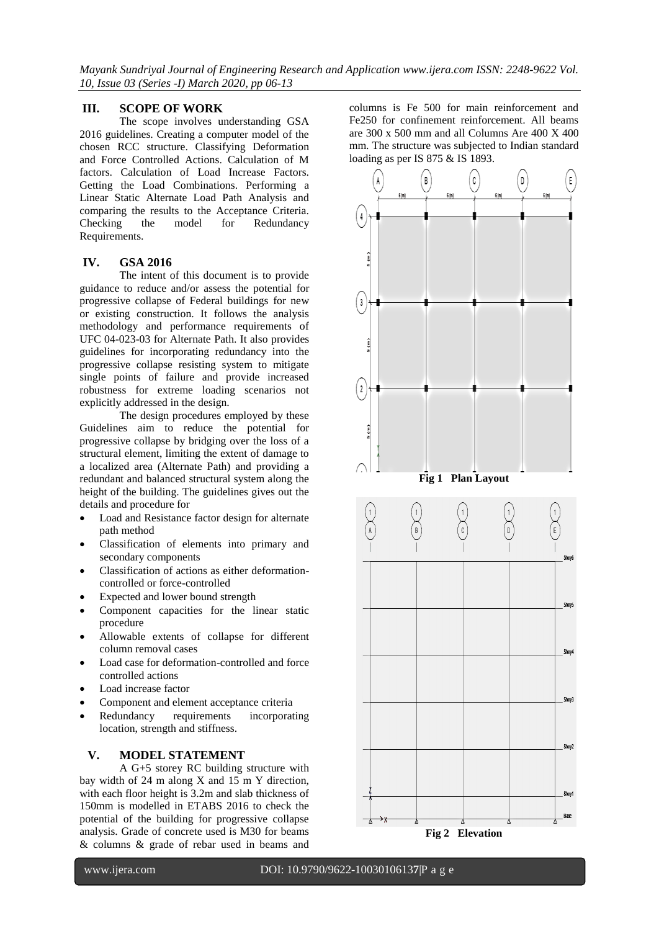# **III. SCOPE OF WORK**

The scope involves understanding GSA 2016 guidelines. Creating a computer model of the chosen RCC structure. Classifying Deformation and Force Controlled Actions. Calculation of M factors. Calculation of Load Increase Factors. Getting the Load Combinations. Performing a Linear Static Alternate Load Path Analysis and comparing the results to the Acceptance Criteria. Checking the model for Redundancy Requirements.

# **IV. GSA 2016**

The intent of this document is to provide guidance to reduce and/or assess the potential for progressive collapse of Federal buildings for new or existing construction. It follows the analysis methodology and performance requirements of UFC 04-023-03 for Alternate Path. It also provides guidelines for incorporating redundancy into the progressive collapse resisting system to mitigate single points of failure and provide increased robustness for extreme loading scenarios not explicitly addressed in the design.

The design procedures employed by these Guidelines aim to reduce the potential for progressive collapse by bridging over the loss of a structural element, limiting the extent of damage to a localized area (Alternate Path) and providing a redundant and balanced structural system along the height of the building. The guidelines gives out the details and procedure for

- Load and Resistance factor design for alternate path method
- Classification of elements into primary and secondary components
- Classification of actions as either deformationcontrolled or force-controlled
- Expected and lower bound strength
- Component capacities for the linear static procedure
- Allowable extents of collapse for different column removal cases
- Load case for deformation-controlled and force controlled actions
- Load increase factor
- Component and element acceptance criteria
- Redundancy requirements incorporating location, strength and stiffness.

# **V. MODEL STATEMENT**

A G+5 storey RC building structure with bay width of 24 m along X and 15 m Y direction, with each floor height is 3.2m and slab thickness of 150mm is modelled in ETABS 2016 to check the potential of the building for progressive collapse analysis. Grade of concrete used is M30 for beams & columns & grade of rebar used in beams and

columns is Fe 500 for main reinforcement and Fe250 for confinement reinforcement. All beams are 300 x 500 mm and all Columns Are 400 X 400 mm. The structure was subjected to Indian standard loading as per IS 875 & IS 1893.

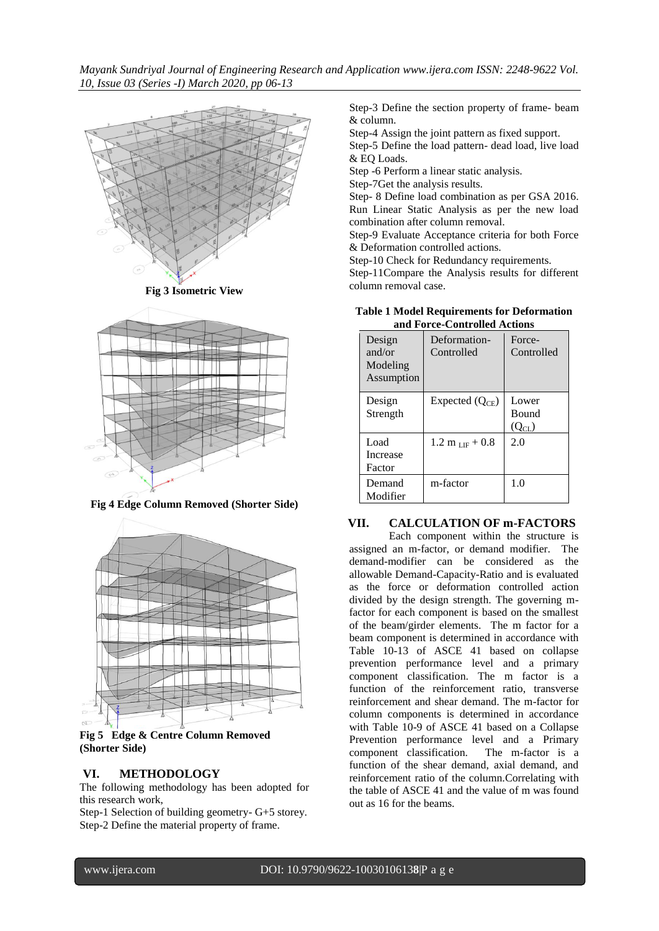

**Fig 3 Isometric View**



**Fig 4 Edge Column Removed (Shorter Side)**



**Fig 5 Edge & Centre Column Removed (Shorter Side)**

## **VI. METHODOLOGY**

The following methodology has been adopted for this research work,

Step-1 Selection of building geometry- G+5 storey. Step-2 Define the material property of frame.

Step-3 Define the section property of frame- beam & column.

Step-4 Assign the joint pattern as fixed support. Step-5 Define the load pattern- dead load, live load

& EQ Loads. Step -6 Perform a linear static analysis.

Step-7Get the analysis results.

Step- 8 Define load combination as per GSA 2016. Run Linear Static Analysis as per the new load combination after column removal.

Step-9 Evaluate Acceptance criteria for both Force & Deformation controlled actions.

Step-10 Check for Redundancy requirements.

Step-11Compare the Analysis results for different column removal case.

|        | <b>Table 1 Model Requirements for Deformation</b><br>and Force-Controlled Actions |  |  |
|--------|-----------------------------------------------------------------------------------|--|--|
| Design | Deformation- Force-                                                               |  |  |

| Design<br>and/or<br>Modeling<br>Assumption | Deformation-<br>Controlled | Force-<br>Controlled                |
|--------------------------------------------|----------------------------|-------------------------------------|
| Design<br>Strength                         | Expected $(Q_{CE})$        | Lower<br><b>Bound</b><br>$(Q_{CL})$ |
| Load<br>Increase<br>Factor                 | $1.2 m_{LIF} + 0.8$        | 2.0                                 |
| Demand<br>Modifier                         | m-factor                   | 1.0                                 |

#### **VII. CALCULATION OF m-FACTORS**

Each component within the structure is assigned an m-factor, or demand modifier. The demand-modifier can be considered as the allowable Demand-Capacity-Ratio and is evaluated as the force or deformation controlled action divided by the design strength. The governing mfactor for each component is based on the smallest of the beam/girder elements. The m factor for a beam component is determined in accordance with Table 10-13 of ASCE 41 based on collapse prevention performance level and a primary component classification. The m factor is a function of the reinforcement ratio, transverse reinforcement and shear demand. The m-factor for column components is determined in accordance with Table 10-9 of ASCE 41 based on a Collapse Prevention performance level and a Primary component classification. The m-factor is a function of the shear demand, axial demand, and reinforcement ratio of the column.Correlating with the table of ASCE 41 and the value of m was found out as 16 for the beams.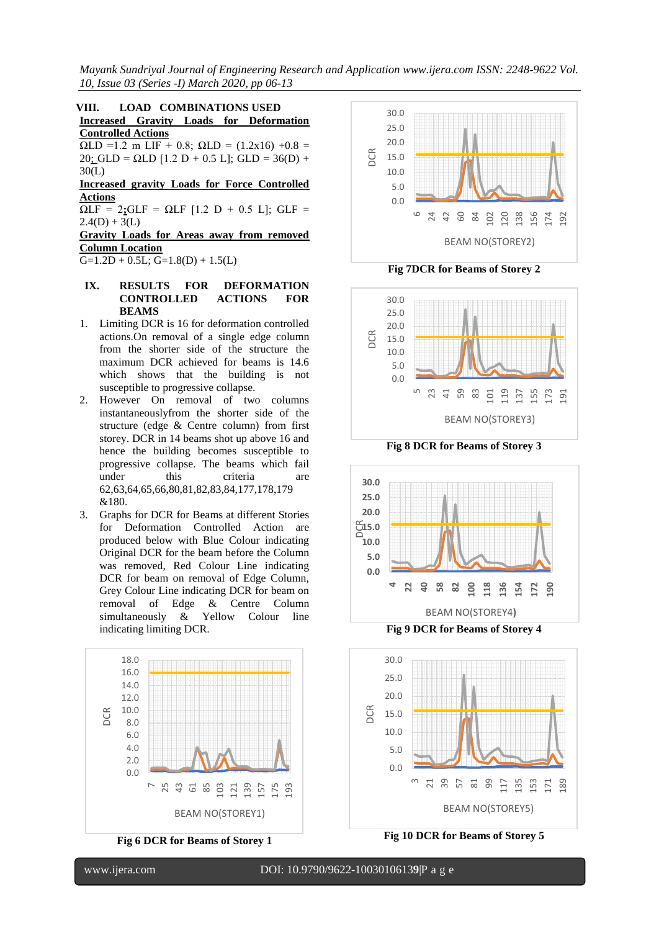**VIII. LOAD COMBINATIONS USED Increased Gravity Loads for Deformation Controlled Actions** 

 $ΩLD = 1.2$  m LIF + 0.8;  $ΩLD = (1.2x16) +0.8$  =  $20$ ; GLD =  $\Omega$ LD [1.2 D + 0.5 L]; GLD = 36(D) + 30(L)

**Increased gravity Loads for Force Controlled Actions** 

 $ΩLF = 2$ **;**GLF =  $ΩLF$  [1.2 D + 0.5 L]; GLF =  $2.4(D) + 3(L)$ 

**Gravity Loads for Areas away from removed Column Location**

 $G=1.2D + 0.5L$ ;  $G=1.8(D) + 1.5(L)$ 

# **IX. RESULTS FOR DEFORMATION CONTROLLED ACTIONS FOR BEAMS**

- 1. Limiting DCR is 16 for deformation controlled actions.On removal of a single edge column from the shorter side of the structure the maximum DCR achieved for beams is 14.6 which shows that the building is not susceptible to progressive collapse.
- 2. However On removal of two columns instantaneouslyfrom the shorter side of the structure (edge & Centre column) from first storey. DCR in 14 beams shot up above 16 and hence the building becomes susceptible to progressive collapse. The beams which fail under this criteria are 62,63,64,65,66,80,81,82,83,84,177,178,179 &180.
- 3. Graphs for DCR for Beams at different Stories for Deformation Controlled Action are produced below with Blue Colour indicating Original DCR for the beam before the Column was removed, Red Colour Line indicating DCR for beam on removal of Edge Column, Grey Colour Line indicating DCR for beam on removal of Edge & Centre Column simultaneously & Yellow Colour line indicating limiting DCR.



**Fig 6 DCR for Beams of Storey 1**





**Fig 8 DCR for Beams of Storey 3**





**Fig 10 DCR for Beams of Storey 5**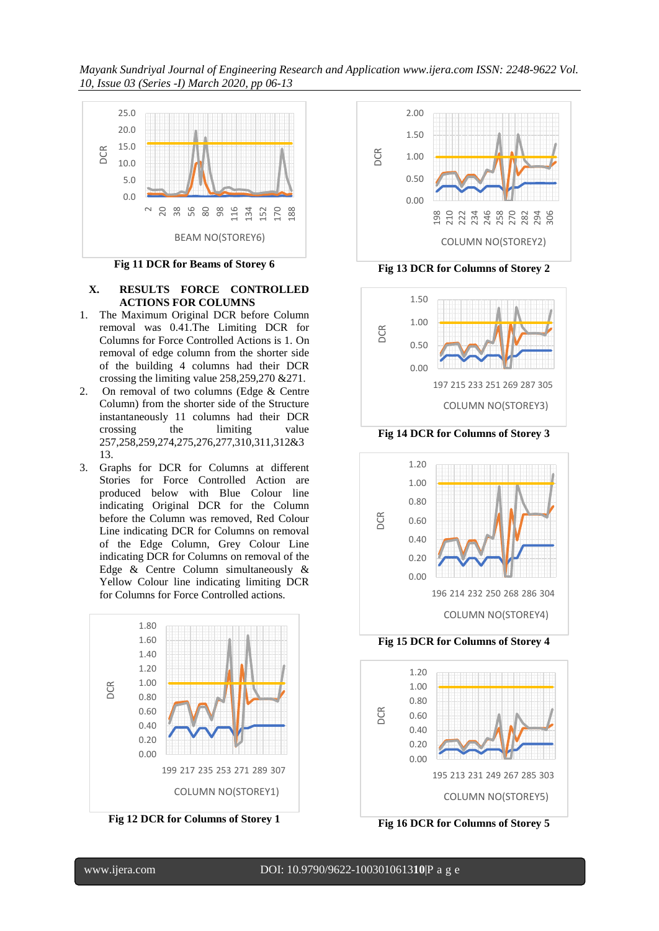

**Fig 11 DCR for Beams of Storey 6**

## **X. RESULTS FORCE CONTROLLED ACTIONS FOR COLUMNS**

- 1. The Maximum Original DCR before Column removal was 0.41.The Limiting DCR for Columns for Force Controlled Actions is 1. On removal of edge column from the shorter side of the building 4 columns had their DCR crossing the limiting value 258,259,270 &271.
- 2. On removal of two columns (Edge & Centre Column) from the shorter side of the Structure instantaneously 11 columns had their DCR crossing the limiting value 257,258,259,274,275,276,277,310,311,312&3 13.
- 3. Graphs for DCR for Columns at different Stories for Force Controlled Action are produced below with Blue Colour line indicating Original DCR for the Column before the Column was removed, Red Colour Line indicating DCR for Columns on removal of the Edge Column, Grey Colour Line indicating DCR for Columns on removal of the Edge & Centre Column simultaneously & Yellow Colour line indicating limiting DCR for Columns for Force Controlled actions.



**Fig 12 DCR for Columns of Storey 1**



**Fig 13 DCR for Columns of Storey 2**



**Fig 14 DCR for Columns of Storey 3**



**Fig 15 DCR for Columns of Storey 4**



**Fig 16 DCR for Columns of Storey 5**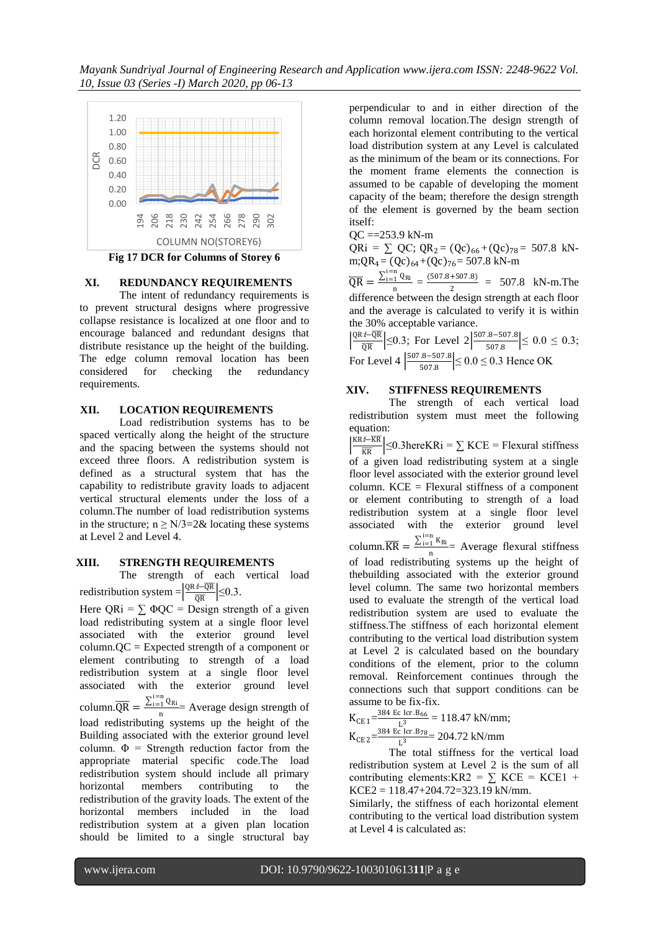

## **XI. REDUNDANCY REQUIREMENTS** The intent of redundancy requirements is to prevent structural designs where progressive collapse resistance is localized at one floor and to encourage balanced and redundant designs that distribute resistance up the height of the building. The edge column removal location has been considered for checking the redundancy requirements.

# **XII. LOCATION REQUIREMENTS**

Load redistribution systems has to be spaced vertically along the height of the structure and the spacing between the systems should not exceed three floors. A redistribution system is defined as a structural system that has the capability to redistribute gravity loads to adjacent vertical structural elements under the loss of a column.The number of load redistribution systems in the structure;  $n \ge N/3 = 2\&$  locating these systems at Level 2 and Level 4.

# **XIII. STRENGTH REQUIREMENTS**

The strength of each vertical load redistribution system =  $\frac{QR \hat{i}-\overline{QR}}{\overline{QR}}$  $\frac{m\log n}{\overline{QR}}$   $\leq$  0.3.

Here  $QRi = \sum \Phi QC = Design strength of a given$ load redistributing system at a single floor level associated with the exterior ground level column.QC = Expected strength of a component or element contributing to strength of a load redistribution system at a single floor level associated with the exterior ground level column. $\overline{QR} = \frac{\sum_{i=1}^{i=n} Q_{Ri}}{n}$  Average design strength of n load redistributing systems up the height of the Building associated with the exterior ground level column.  $\Phi$  = Strength reduction factor from the appropriate material specific code.The load redistribution system should include all primary horizontal members contributing to the redistribution of the gravity loads. The extent of the horizontal members included in the load redistribution system at a given plan location should be limited to a single structural bay

perpendicular to and in either direction of the column removal location.The design strength of each horizontal element contributing to the vertical load distribution system at any Level is calculated as the minimum of the beam or its connections. For the moment frame elements the connection is assumed to be capable of developing the moment capacity of the beam; therefore the design strength of the element is governed by the beam section itself:

QC ==253.9 kN-m

 $QRi = \sum QC$ ;  $QR_2 = (QC)_{66} + (QC)_{78} = 507.8$  kNm; $QR_4 = (QC)_{64} + (QC)_{76} = 507.8$  kN-m

 $\overline{\text{QR}} = \frac{\sum_{i=1}^{i=n} Q_{\text{R}i}}{\overline{Q_{\text{R}i}}}$  $\frac{1}{n} \frac{Q_{\text{Ri}}}{2} = \frac{(507.8 + 507.8)}{2}$  $\frac{+507.6j}{2}$  = 507.8 kN-m. The difference between the design strength at each floor and the average is calculated to verify it is within the 30% acceptable variance.

 $\frac{QR \hat{i}-\overline{QR}}{\overline{OP}}$  $\frac{\textit{i} - \text{QR}}{\text{QR}}$   $\leq$  0.3; For Level 2  $\frac{\left| \frac{507.8 - 507.8}{507.8} \right|}{507.8}$  $\left| \frac{3-307.0}{507.8} \right| \leq 0.0 \leq 0.3;$ For Level 4  $\frac{507.8 - 507.8}{507.8}$  $\frac{3.5-307.8}{507.8}$   $\leq 0.0 \leq 0.3$  Hence OK

# **XIV. STIFFNESS REQUIREMENTS**

The strength of each vertical load redistribution system must meet the following equation:

 $KR\sqrt{\frac{K}{K}}$  $\frac{K}{KR}$   $\leq$  0.3hereKRi =  $\sum$  KCE = Flexural stiffness of a given load redistributing system at a single floor level associated with the exterior ground level column.  $KCE = F$  lexural stiffness of a component or element contributing to strength of a load redistribution system at a single floor level associated with the exterior ground level column.  $\overline{\text{KR}} = \frac{\sum_{i=1}^{i=n} K_{\text{R}i}}{\sum_{i=1}^{n} K_{\text{R}i}}$  $_{\text{n}}^{\frac{1}{1} \cdot \text{R}_{\text{N}}}=$  Average flexural stiffness of load redistributing systems up the height of thebuilding associated with the exterior ground level column. The same two horizontal members used to evaluate the strength of the vertical load redistribution system are used to evaluate the stiffness.The stiffness of each horizontal element contributing to the vertical load distribution system at Level 2 is calculated based on the boundary conditions of the element, prior to the column removal. Reinforcement continues through the connections such that support conditions can be assume to be fix-fix.

 $K_{CE\,1} = \frac{384\,Ec\,Icr.B_{66}}{13}$  $\frac{L \text{ R1 B}}{L^3}$  = 118.47 kN/mm;

 $K_{CE2} = \frac{384 \text{ Ec Icr} \cdot B78}{1^3} = 204.72 \text{ kN/mm}$  $L^3$ 

The total stiffness for the vertical load redistribution system at Level 2 is the sum of all contributing elements:KR2 =  $\Sigma$  KCE = KCE1 +  $KCE2 = 118.47 + 204.72 = 323.19$  kN/mm.

Similarly, the stiffness of each horizontal element contributing to the vertical load distribution system at Level 4 is calculated as: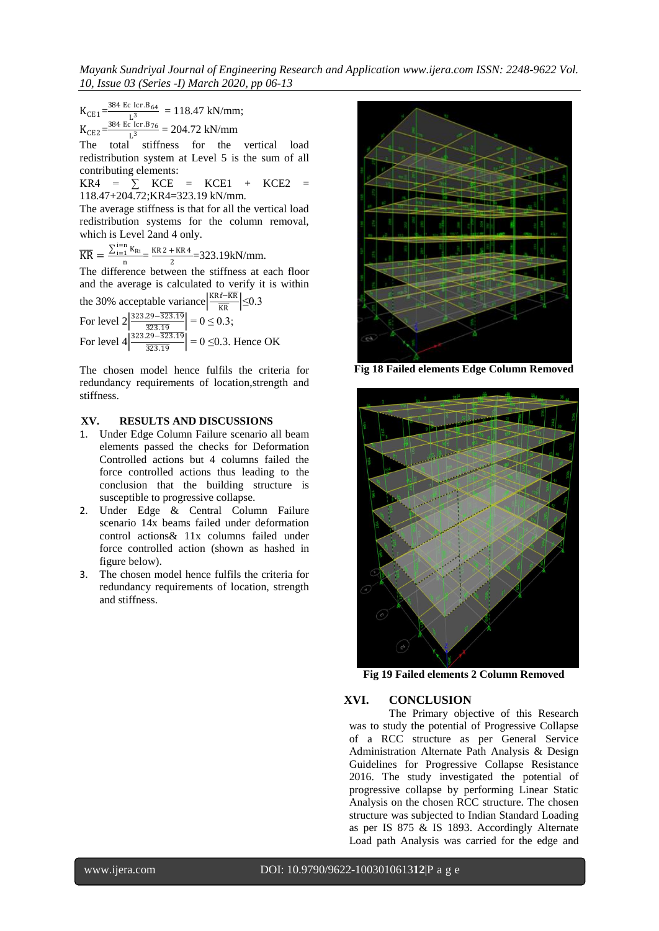*Mayank Sundriyal Journal of Engineering Research and Application www.ijera.com ISSN: 2248-9622 Vol. 10, Issue 03 (Series -I) March 2020, pp 06-13*

 $K_{CE1} =$  $\frac{384 \text{ Ec Icr.B}_{64}}{1.3}$  = 118.47 kN/mm; L  $K_{CE2} = \frac{384 \text{ Ec Icr} \cdot B_{76}}{13}$  $\frac{2 \text{ R}}{L^3}$  = 204.72 kN/mm

The total stiffness for the vertical load redistribution system at Level 5 is the sum of all contributing elements:

 $KRA = \sum KCE = KCE1 + KCE2 =$ 118.47+204.72;KR4=323.19 kN/mm.

The average stiffness is that for all the vertical load redistribution systems for the column removal, which is Level 2and 4 only.

 $\overline{\text{KR}} = \frac{\sum_{i=1}^{i=n} K_{\text{R}i}}{\sqrt{n}}$  $\frac{1}{n} \frac{K_{\text{R}i}}{2} = \frac{\text{KR } 2 + \text{KR } 4}{2}$  $\frac{1}{2}$  = 323.19kN/mm.

The difference between the stiffness at each floor and the average is calculated to verify it is within

the 30% acceptable variance  $\frac{KR \hat{i}-\overline{KR}}{\overline{SR}}$  $\frac{m}{KR}$   $\leq 0.3$ For level  $2\left| \frac{323.29 - \overline{323.19}}{323.10} \right|$  $\left|\frac{29-323.19}{323.19}\right| = 0 \le 0.3;$ For level  $4\frac{323.29 - \overline{323.19}}{323.19}$  $\left| \frac{25-523.17}{323.19} \right| = 0 \le 0.3$ . Hence OK

The chosen model hence fulfils the criteria for redundancy requirements of location,strength and stiffness.

## **XV. RESULTS AND DISCUSSIONS**

- 1. Under Edge Column Failure scenario all beam elements passed the checks for Deformation Controlled actions but 4 columns failed the force controlled actions thus leading to the conclusion that the building structure is susceptible to progressive collapse.
- 2. Under Edge & Central Column Failure scenario 14x beams failed under deformation control actions& 11x columns failed under force controlled action (shown as hashed in figure below).
- 3. The chosen model hence fulfils the criteria for redundancy requirements of location, strength and stiffness.



**Fig 18 Failed elements Edge Column Removed**



**Fig 19 Failed elements 2 Column Removed**

# **XVI. CONCLUSION**

The Primary objective of this Research was to study the potential of Progressive Collapse of a RCC structure as per General Service Administration Alternate Path Analysis & Design Guidelines for Progressive Collapse Resistance 2016. The study investigated the potential of progressive collapse by performing Linear Static Analysis on the chosen RCC structure. The chosen structure was subjected to Indian Standard Loading as per IS 875 & IS 1893. Accordingly Alternate Load path Analysis was carried for the edge and